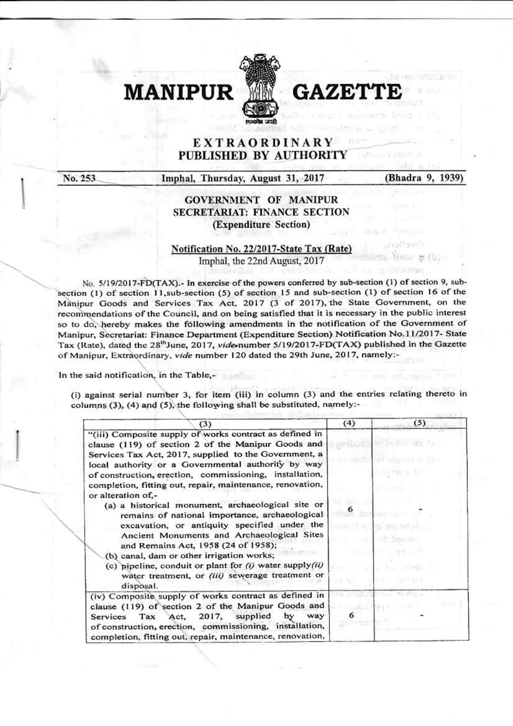

GAZE'

## **EXTRAORDINARY** PUBLISHED BY AUTHORITY

No. 253

Imphal, Thursday, August 31, 2017

(Bhadra 9, 1939)

**ISTAC** 

## **GOVERNMENT OF MANIPUR SECRETARIAT: FINANCE SECTION** (Expenditure Section)

## Notification No. 22/2017-State Tax (Rate) Imphal, the 22nd August, 2017

No. 5/19/2017-FD(TAX).- In exercise of the powers conferred by sub-section (1) of section 9, subsection (1) of section 11, sub-section (5) of section 15 and sub-section (1) of section 16 of the Manipur Goods and Services Tax Act, 2017 (3 of 2017), the State Government, on the recommendations of the Council, and on being satisfied that it is necessary in the public interest so to do, hereby makes the following amendments in the notification of the Government of Manipur, Secretariat: Finance Department (Expenditure Section) Notification No.11/2017- State Tax (Rate), dated the 28<sup>th</sup>June, 2017, vide-number 5/19/2017-FD(TAX) published in the Gazette of Manipur, Extraordinary, vide number 120 dated the 29th June, 2017, namely:-

In the said notification, in the Table,-

(i) against serial number 3, for item (iii) in column (3) and the entries relating thereto in columns (3), (4) and (5), the following shall be substituted, namely:-

| (3)                                                                                                                                                                                                                                                                                                                                                                                                                                                                                                                                                                                                                                                                                                                                                                                                 | (4) | (5)                                                          |
|-----------------------------------------------------------------------------------------------------------------------------------------------------------------------------------------------------------------------------------------------------------------------------------------------------------------------------------------------------------------------------------------------------------------------------------------------------------------------------------------------------------------------------------------------------------------------------------------------------------------------------------------------------------------------------------------------------------------------------------------------------------------------------------------------------|-----|--------------------------------------------------------------|
| "(iii) Composite supply of works contract as defined in<br>clause (119) of section 2 of the Manipur Goods and<br>Services Tax Act, 2017, supplied to the Government, a<br>local authority or a Governmental authority by way<br>of construction, erection, commissioning, installation,<br>completion, fitting out, repair, maintenance, renovation,<br>or alteration of,-<br>(a) a historical monument, archaeological site or<br>remains of national importance, archaeological<br>excavation, or antiquity specified under the<br>Ancient Monuments and Archaeological Sites<br>and Remains Act, 1958 (24 of 1958);<br>(b) canal, dam or other irrigation works;<br>(c) pipeline, conduit or plant for $(i)$ water supply $(ii)$<br>water treatment, or (iii) sewerage treatment or<br>disposal. |     | interest with the<br>(自 GSL Gint Booth)には<br><b>TREPVIES</b> |
| (iv) Composite supply of works contract as defined in<br>clause (119) of section 2 of the Manipur Goods and<br>way<br>Tax Act, 2017, supplied<br>by<br>Services<br>of construction, erection, commissioning, installation,<br>completion, fitting out, repair, maintenance, renovation,                                                                                                                                                                                                                                                                                                                                                                                                                                                                                                             |     |                                                              |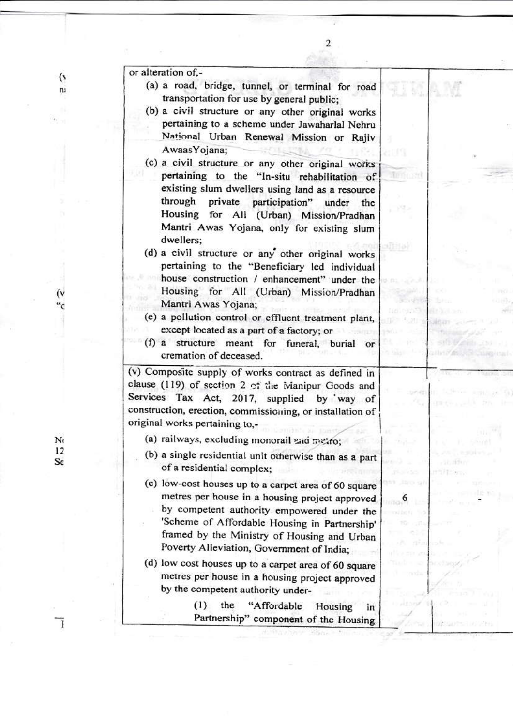| or alteration of,-                                                                                                                                                                                                                                                                                                                                        |          |
|-----------------------------------------------------------------------------------------------------------------------------------------------------------------------------------------------------------------------------------------------------------------------------------------------------------------------------------------------------------|----------|
| (a) a road, bridge, tunnel, or terminal for road<br>transportation for use by general public;<br>(b) a civil structure or any other original works<br>pertaining to a scheme under Jawaharlal Nehru<br>National Urban Renewal Mission or Rajiv<br>AwaasYojana;                                                                                            |          |
| (c) a civil structure or any other original works                                                                                                                                                                                                                                                                                                         |          |
| pertaining to the "In-situ rehabilitation of<br>existing slum dwellers using land as a resource<br>through private participation" under<br>the<br>Housing for All (Urban) Mission/Pradhan<br>Mantri Awas Yojana, only for existing slum<br>dwellers:                                                                                                      |          |
| (d) a civil structure or any other original works<br>pertaining to the "Beneficiary led individual<br>house construction / enhancement" under the                                                                                                                                                                                                         | affilia) |
| Housing for All (Urban) Mission/Pradhan<br>Mantri Awas Yojana;<br>(e) a pollution control or effluent treatment plant,                                                                                                                                                                                                                                    |          |
| except located as a part of a factory; or<br>(f) a structure meant for funeral, burial or<br>cremation of deceased.                                                                                                                                                                                                                                       |          |
| (v) Composite supply of works contract as defined in<br>clause (119) of section 2 of the Manipur Goods and<br>Services Tax Act, 2017, supplied by way of<br>construction, erection, commissioning, or installation of<br>original works pertaining to,-                                                                                                   |          |
| (a) railways, excluding monorail and metro;                                                                                                                                                                                                                                                                                                               |          |
| (b) a single residential unit otherwise than as a part<br>of a residential complex:                                                                                                                                                                                                                                                                       |          |
| (c) low-cost houses up to a carpet area of 60 square<br>metres per house in a housing project approved<br>by competent authority empowered under the<br>'Scheme of Affordable Housing in Partnership'<br>framed by the Ministry of Housing and Urban<br>Poverty Alleviation, Government of India;<br>(d) low cost houses up to a carpet area of 60 square |          |
| metres per house in a housing project approved<br>by the competent authority under-                                                                                                                                                                                                                                                                       |          |
| (1)<br>the<br>"Affordable<br>Housing<br>Partnership" component of the Housing                                                                                                                                                                                                                                                                             | ın       |

**Shop** 

окаленности

 $\mathfrak{c}$ 

 $(v$ 

 $\mathbf{r}$ 

n:

 $\mathbf{r}_{\mathrm{f}}$  or

 $N<sub>t</sub>$  $\overline{12}$  $S\epsilon$ 

 $\overline{\mathbf{1}}$ 

¥.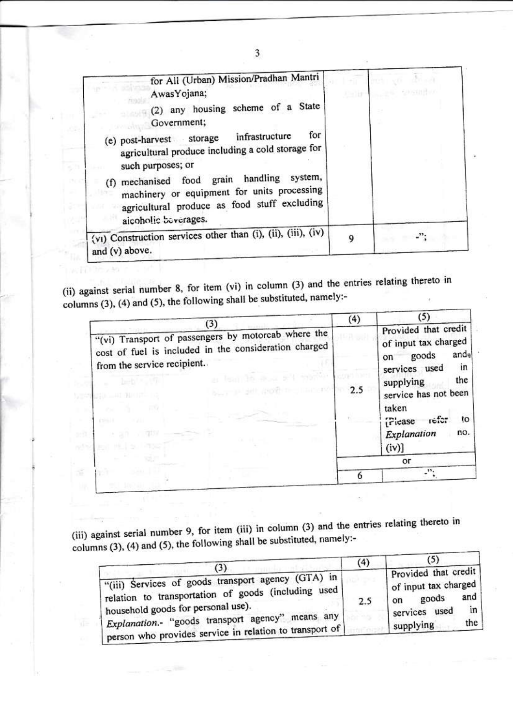| for All (Urban) Mission/Pradhan Mantri<br>Awas Yojana;                                                                                                               |   |  |
|----------------------------------------------------------------------------------------------------------------------------------------------------------------------|---|--|
| (2) any housing scheme of a State<br>Government;                                                                                                                     |   |  |
| for<br>(e) post-harvest storage infrastructure                                                                                                                       |   |  |
| agricultural produce including a cold storage for<br>such purposes; or                                                                                               |   |  |
| handling system,<br>(f) mechanised food grain<br>machinery or equipment for units processing<br>agricultural produce as food stuff excluding<br>aicoholic beverages. |   |  |
| (vi) Construction services other than (i), (ii), (iii), (iv)<br>and (v) above.                                                                                       | 9 |  |

(ii) against serial number 8, for item (vi) in column (3) and the entries relating thereto in columns (3), (4) and (5), the following shall be substituted, namely:-

will this

|                                                                                                                                                                  | (4) | (5)                                                                                                                                                                                                     |
|------------------------------------------------------------------------------------------------------------------------------------------------------------------|-----|---------------------------------------------------------------------------------------------------------------------------------------------------------------------------------------------------------|
| (3)<br>"(vi) Transport of passengers by motorcab where the<br>cost of fuel is included in the consideration charged<br>from the service recipient.<br>North 1988 | 2.5 | Provided that credit<br>of input tax charged<br>ando<br>goods<br>on<br>in<br>services used<br>the<br>supplying<br>service has not been<br>taken<br>refer<br>to<br>Piease<br>Explanation<br>no.<br>(iv)] |
|                                                                                                                                                                  |     | or                                                                                                                                                                                                      |
|                                                                                                                                                                  |     | 55.                                                                                                                                                                                                     |

(iii) against serial number 9, for item (iii) in column (3) and the entries relating thereto in columns (3), (4) and (5), the following shall be substituted, namely:-

|                                                                                                                                                                                                                                                                           | (4) | (5)                                                                                                                            |
|---------------------------------------------------------------------------------------------------------------------------------------------------------------------------------------------------------------------------------------------------------------------------|-----|--------------------------------------------------------------------------------------------------------------------------------|
| (3)<br>"(iii) Services of goods transport agency (GTA) in<br>relation to transportation of goods (including used)<br>household goods for personal use).<br>means any<br>Explanation.- "goods transport agency"<br>person who provides service in relation to transport of | 2.5 | Provided that credit<br>of input tax charged<br>and<br>goods<br>on<br>$\lfloor n \rfloor$<br>services used<br>the<br>supplying |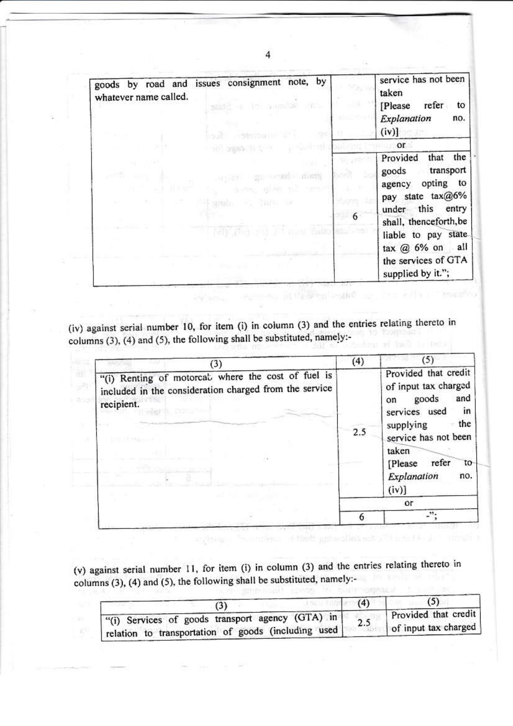| goods by road and issues consignment note, by<br>whatever name called.<br>-a itel somethy with | service has not been<br>taken<br>refer<br>[Please]<br>to                                                                                                                                                                       |
|------------------------------------------------------------------------------------------------|--------------------------------------------------------------------------------------------------------------------------------------------------------------------------------------------------------------------------------|
|                                                                                                | Explanation<br>no.<br>$(iv)$ ]                                                                                                                                                                                                 |
| TO SHAND TO THE                                                                                | or                                                                                                                                                                                                                             |
| <b>Light Horsen's Customs</b><br>denne ginn e2<br>WARD OF THE LA<br>WAY THAT ON I'M HEAD BEEN  | the<br>Provided<br>that<br>transport<br>goods<br>opting to<br>agency<br>pay state tax@6%<br>under this entry<br>shall, thenceforth, be<br>liable to pay state<br>tax $@6\%$ on all<br>the services of GTA<br>supplied by it."; |

(iv) against serial number 10, for item (i) in column (3) and the entries relating thereto in columns (3), (4) and (5), the following shall be substituted, namely:-

owner ou

| (3)                                                                                                                        | (4) | (5)                                                                                                                                                                                                                 |
|----------------------------------------------------------------------------------------------------------------------------|-----|---------------------------------------------------------------------------------------------------------------------------------------------------------------------------------------------------------------------|
| "(i) Renting of motorcal where the cost of fuel is<br>included in the consideration charged from the service<br>recipient. | 2.5 | Provided that credit<br>of input tax charged<br>goods<br>and<br>on<br>services used<br>$\mathsf{in}$<br>the<br>supplying<br>service has not been<br>taken<br>refer<br>[Please]<br>to<br>Explanation<br>no.<br>(iv)] |
|                                                                                                                            |     | <b>Or</b>                                                                                                                                                                                                           |
|                                                                                                                            |     | ە دىر                                                                                                                                                                                                               |

(v) against serial number 11, for item (i) in column (3) and the entries relating thereto in columns (3), (4) and (5), the following shall be substituted, namely:to cutteromant.

R

| "(i) Services of goods transport agency (GTA) in<br>relation to transportation of goods (including used) | Provided that credit<br>of input tax charged |
|----------------------------------------------------------------------------------------------------------|----------------------------------------------|

**ANSON**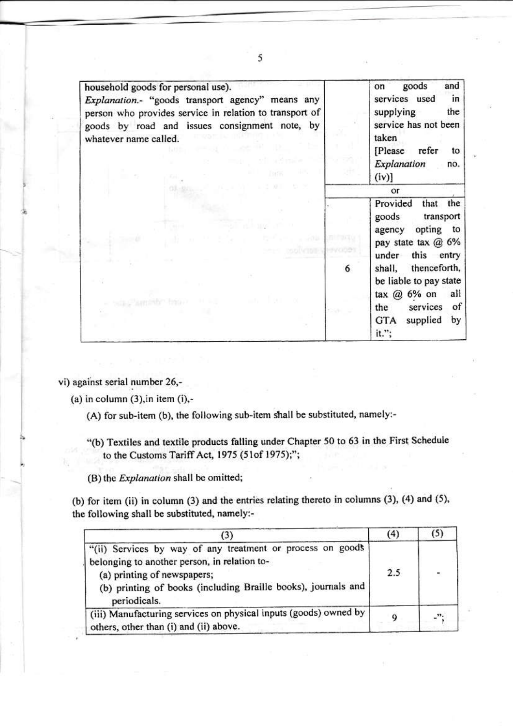| household goods for personal use).<br>Explanation.- "goods transport agency" means any<br>person who provides service in relation to transport of<br>goods by road and issues consignment note, by<br>whatever name called. |   | goods<br>and<br>on<br>services used<br>in<br>supplying<br>the<br>service has not been<br>taken<br>[Please refer<br>to<br>Explanation<br>no.<br>(iv) |
|-----------------------------------------------------------------------------------------------------------------------------------------------------------------------------------------------------------------------------|---|-----------------------------------------------------------------------------------------------------------------------------------------------------|
|                                                                                                                                                                                                                             |   | or                                                                                                                                                  |
|                                                                                                                                                                                                                             |   | Provided<br>that the<br>goods<br>transport<br>opting to<br>agency<br>pay state tax @ 6%                                                             |
|                                                                                                                                                                                                                             | 6 | under this entry<br>shall, thenceforth,<br>be liable to pay state                                                                                   |
|                                                                                                                                                                                                                             |   | tax $@6%$ on<br>all<br>services<br>of<br>the<br>supplied<br>by<br>GTA<br>it.";                                                                      |

vi) against serial number 26,-

(a) in column  $(3)$ , in item  $(i)$ ,-

(A) for sub-item (b), the following sub-item shall be substituted, namely:-

"(b) Textiles and textile products falling under Chapter 50 to 63 in the First Schedule to the Customs Tariff Act, 1975 (51of 1975);";

(B) the Explanation shall be omitted;

(b) for item (ii) in column (3) and the entries relating thereto in columns (3), (4) and (5), the following shall be substituted, namely:-

| (3)                                                                                                                                                                                                                        | (4) | (5)                   |
|----------------------------------------------------------------------------------------------------------------------------------------------------------------------------------------------------------------------------|-----|-----------------------|
| "(ii) Services by way of any treatment or process on goods<br>belonging to another person, in relation to-<br>(a) printing of newspapers;<br>(b) printing of books (including Braille books), journals and<br>periodicals. | 2.5 | $\tilde{\mathcal{D}}$ |
| (iii) Manufacturing services on physical inputs (goods) owned by<br>others, other than (i) and (ii) above.                                                                                                                 |     |                       |